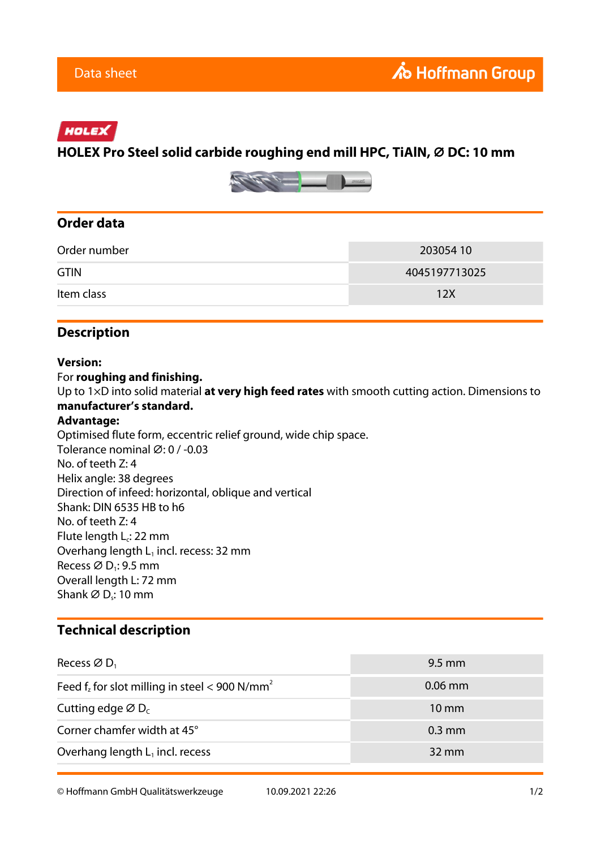## HOLEX

# **HOLEX Pro Steel solid carbide roughing end mill HPC, TiAlN, ⌀ DC: 10 mm**



### **Order data**

| Order number | 203054 10     |
|--------------|---------------|
| <b>GTIN</b>  | 4045197713025 |
| Item class   | 12X           |

## **Description**

#### **Version:**

For **roughing and finishing.**

Up to 1×D into solid material **at very high feed rates** with smooth cutting action. Dimensions to **manufacturer's standard.**

#### **Advantage:**

Optimised flute form, eccentric relief ground, wide chip space. Tolerance nominal ⌀: 0 / -0.03 No. of teeth Z: 4 Helix angle: 38 degrees Direction of infeed: horizontal, oblique and vertical Shank: DIN 6535 HB to h6 No. of teeth Z: 4 Flute length L<sub>c</sub>: 22 mm Overhang length  $L_1$  incl. recess: 32 mm Recess  $\varnothing$  D<sub>1</sub>: 9.5 mm Overall length L: 72 mm Shank  $\varnothing$  D<sub>s</sub>: 10 mm

### **Technical description**

| Recess $\varnothing$ D <sub>1</sub>                          | $9.5 \text{ mm}$ |
|--------------------------------------------------------------|------------------|
| Feed $f_z$ for slot milling in steel < 900 N/mm <sup>2</sup> | $0.06$ mm        |
| Cutting edge $\varnothing$ D <sub>c</sub>                    | $10 \text{ mm}$  |
| Corner chamfer width at 45°                                  | $0.3$ mm         |
| Overhang length $L_1$ incl. recess                           | $32 \text{ mm}$  |

© Hoffmann GmbH Qualitätswerkzeuge 10.09.2021 22:26 1/2